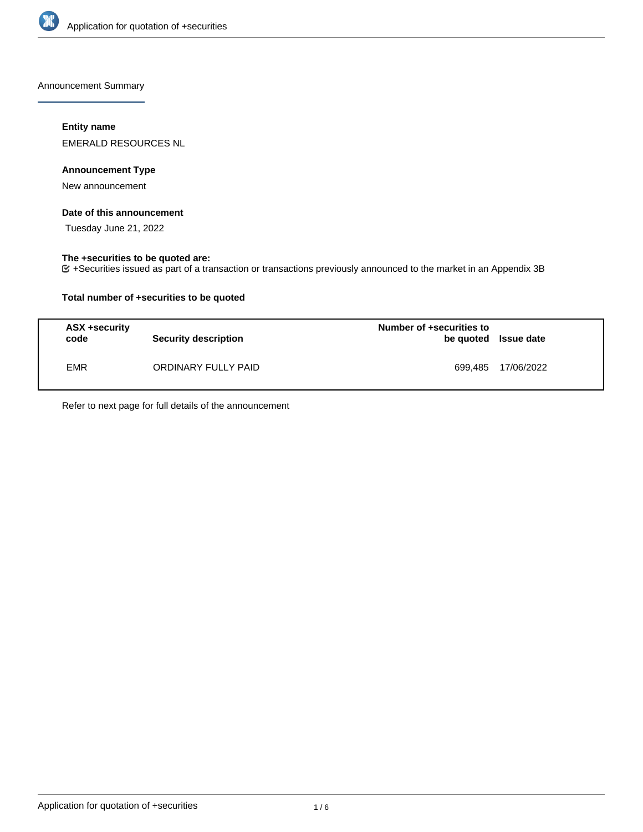

Announcement Summary

### **Entity name**

EMERALD RESOURCES NL

### **Announcement Type**

New announcement

### **Date of this announcement**

Tuesday June 21, 2022

# **The +securities to be quoted are:**

+Securities issued as part of a transaction or transactions previously announced to the market in an Appendix 3B

### **Total number of +securities to be quoted**

| ASX +security<br>code | <b>Security description</b> | Number of +securities to<br>be quoted Issue date |                    |
|-----------------------|-----------------------------|--------------------------------------------------|--------------------|
| <b>EMR</b>            | ORDINARY FULLY PAID         |                                                  | 699,485 17/06/2022 |

Refer to next page for full details of the announcement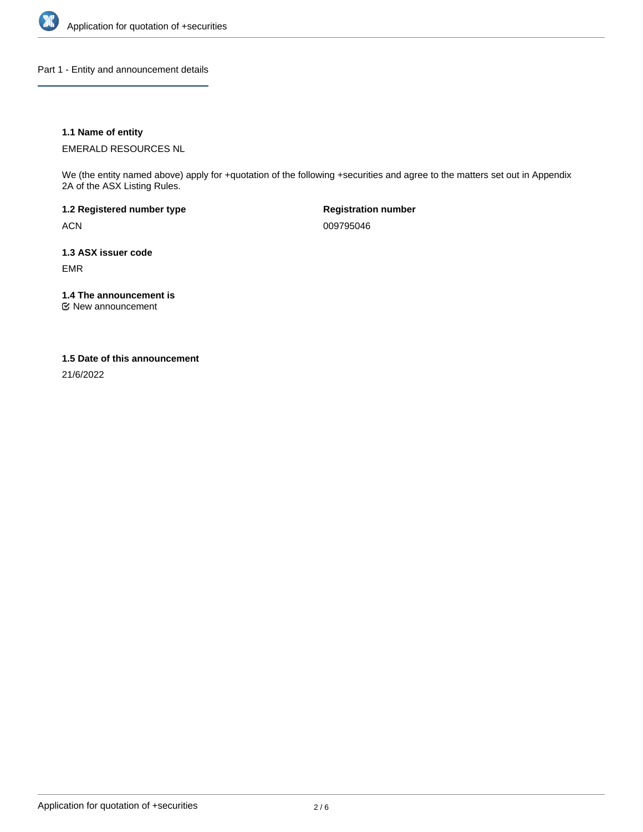

Part 1 - Entity and announcement details

### **1.1 Name of entity**

EMERALD RESOURCES NL

We (the entity named above) apply for +quotation of the following +securities and agree to the matters set out in Appendix 2A of the ASX Listing Rules.

**1.2 Registered number type** ACN

**Registration number** 009795046

**1.3 ASX issuer code** EMR

**1.4 The announcement is**

New announcement

#### **1.5 Date of this announcement**

21/6/2022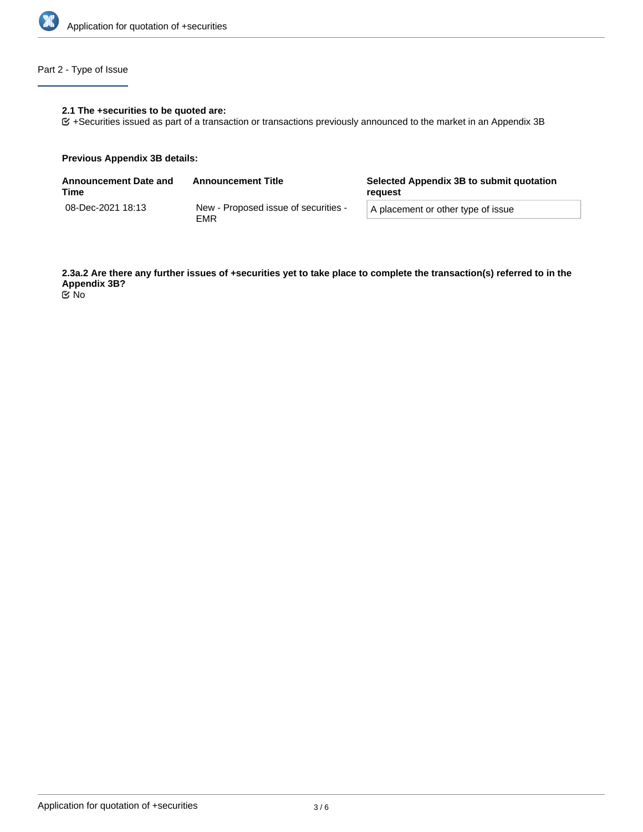

# Part 2 - Type of Issue

### **2.1 The +securities to be quoted are:**

+Securities issued as part of a transaction or transactions previously announced to the market in an Appendix 3B

#### **Previous Appendix 3B details:**

| <b>Announcement Date and</b><br>Time | <b>Announcement Title</b>                   | Selected Appendix 3B to submit quotation<br>reguest |  |
|--------------------------------------|---------------------------------------------|-----------------------------------------------------|--|
| 08-Dec-2021 18:13                    | New - Proposed issue of securities -<br>EMR | A placement or other type of issue                  |  |

**2.3a.2 Are there any further issues of +securities yet to take place to complete the transaction(s) referred to in the Appendix 3B?** No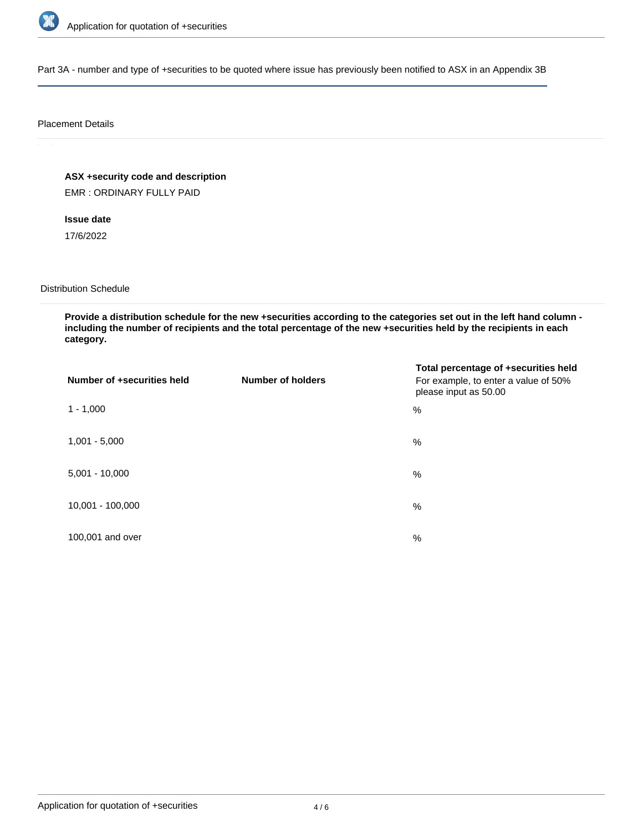

Part 3A - number and type of +securities to be quoted where issue has previously been notified to ASX in an Appendix 3B

#### Placement Details

**ASX +security code and description**

EMR : ORDINARY FULLY PAID

# **Issue date**

17/6/2022

Distribution Schedule

**Provide a distribution schedule for the new +securities according to the categories set out in the left hand column including the number of recipients and the total percentage of the new +securities held by the recipients in each category.**

| Number of +securities held | <b>Number of holders</b> | Total percentage of +securities held<br>For example, to enter a value of 50%<br>please input as 50.00 |
|----------------------------|--------------------------|-------------------------------------------------------------------------------------------------------|
| $1 - 1,000$                |                          | %                                                                                                     |
| $1,001 - 5,000$            |                          | $\%$                                                                                                  |
| $5,001 - 10,000$           |                          | %                                                                                                     |
| 10,001 - 100,000           |                          | $\%$                                                                                                  |
| 100,001 and over           |                          | $\%$                                                                                                  |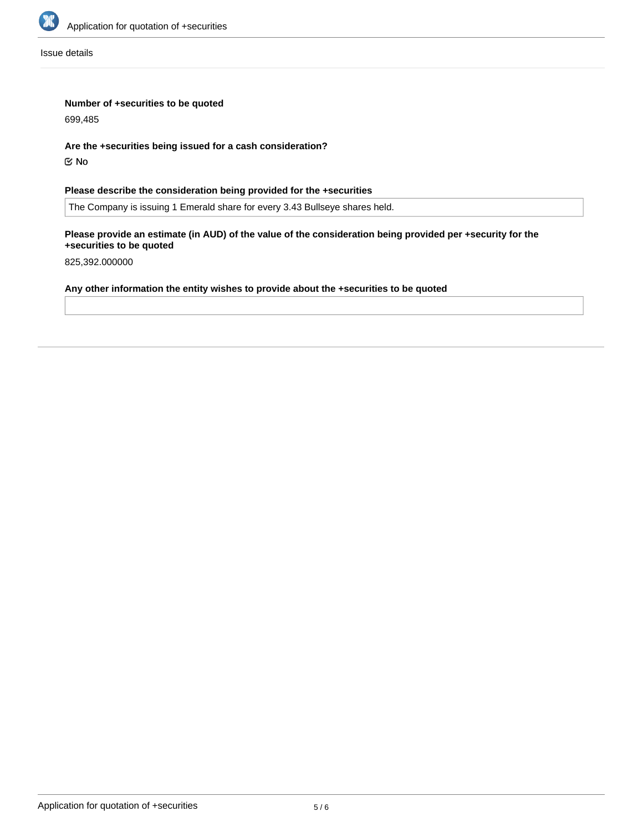

Issue details

### **Number of +securities to be quoted**

699,485

### **Are the +securities being issued for a cash consideration?**

No

# **Please describe the consideration being provided for the +securities**

The Company is issuing 1 Emerald share for every 3.43 Bullseye shares held.

### **Please provide an estimate (in AUD) of the value of the consideration being provided per +security for the +securities to be quoted**

825,392.000000

# **Any other information the entity wishes to provide about the +securities to be quoted**